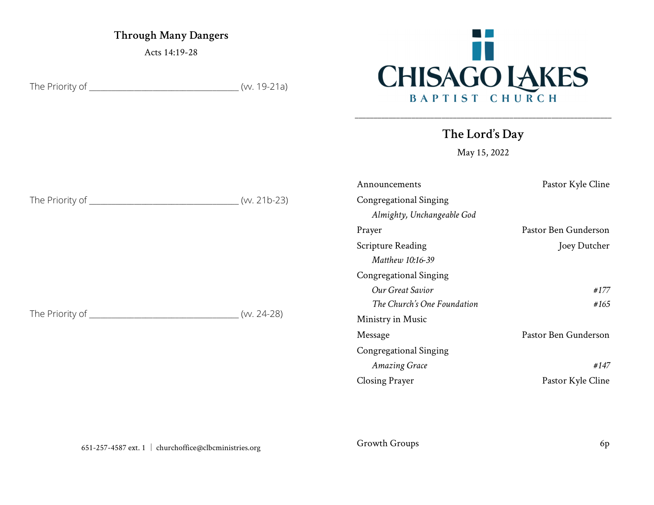Through Many Dangers

Acts 14:19-28

The Priority of \_\_\_\_\_\_\_\_\_\_\_\_\_\_\_\_\_\_\_\_\_\_\_\_\_\_\_\_\_\_\_\_\_\_\_\_\_\_\_\_ (vv. 19-21a)



The Lord's Day

\_\_\_\_\_\_\_\_\_\_\_\_\_\_\_\_\_\_\_\_\_\_\_\_\_\_\_\_\_\_\_\_\_\_\_\_\_\_\_\_\_\_\_\_\_\_\_\_\_\_\_\_\_\_\_\_\_\_\_\_\_\_\_\_\_\_\_\_

May 15, 2022

|                               |               | Announcements                 | Pastor Kyle Cline    |
|-------------------------------|---------------|-------------------------------|----------------------|
| The Priority of ____________  | $(w. 21b-23)$ | <b>Congregational Singing</b> |                      |
|                               |               | Almighty, Unchangeable God    |                      |
|                               |               | Prayer                        | Pastor Ben Gunderson |
| The Priority of _____________ | $(W. 24-28)$  | <b>Scripture Reading</b>      | Joey Dutcher         |
|                               |               | Matthew 10:16-39              |                      |
|                               |               | <b>Congregational Singing</b> |                      |
|                               |               | Our Great Savior              | #177                 |
|                               |               | The Church's One Foundation   | #165                 |
|                               |               | Ministry in Music             |                      |
|                               |               | Message                       | Pastor Ben Gunderson |
|                               |               | <b>Congregational Singing</b> |                      |
|                               |               | <b>Amazing Grace</b>          | #147                 |
|                               |               | <b>Closing Prayer</b>         | Pastor Kyle Cline    |

Growth Groups 6p